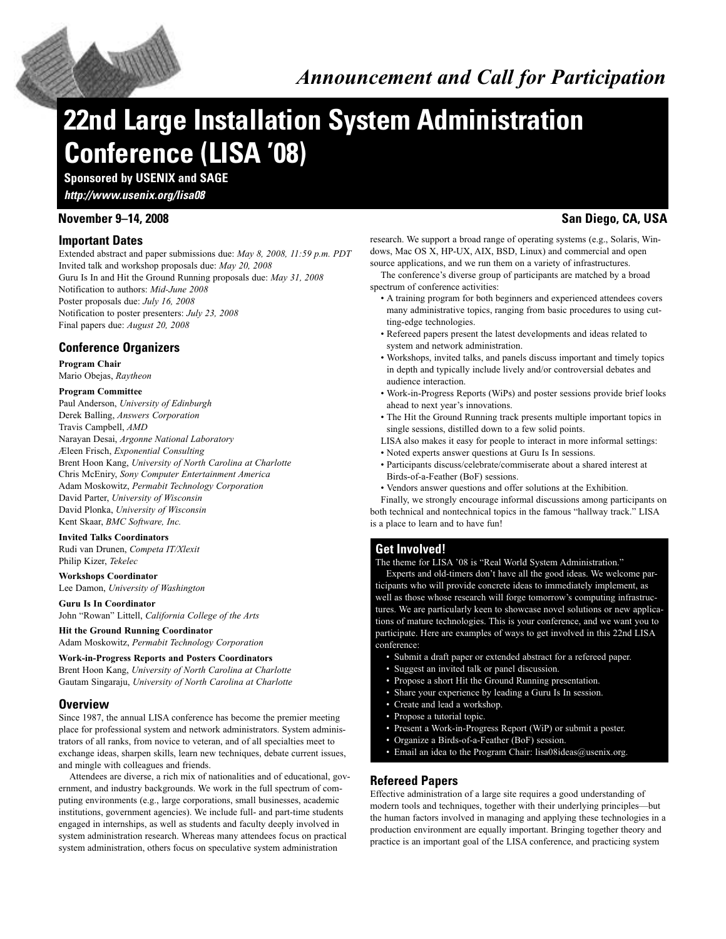## *Announcement and Call for Participation*

# **22nd Large Installation System Administration Conference (LISA '08)**

**Sponsored by USENIX and SAGE**

*http://www.usenix.org/lisa08*

#### **Important Dates**

Extended abstract and paper submissions due: *May 8, 2008, 11:59 p.m. PDT* Invited talk and workshop proposals due: *May 20, 2008* Guru Is In and Hit the Ground Running proposals due: *May 31, 2008* Notification to authors: *Mid-June 2008* Poster proposals due: *July 16, 2008* Notification to poster presenters: *July 23, 2008* Final papers due: *August 20, 2008*

#### **Conference Organizers**

#### **Program Chair** Mario Obejas, *Raytheon*

#### **Program Committee**

Paul Anderson, *University of Edinburgh* Derek Balling, *Answers Corporation* Travis Campbell, *AMD* Narayan Desai, *Argonne National Laboratory* Æleen Frisch, *Exponential Consulting* Brent Hoon Kang, *University of North Carolina at Charlotte* Chris McEniry, *Sony Computer Entertainment America* Adam Moskowitz, *Permabit Technology Corporation* David Parter, *University of Wisconsin* David Plonka, *University of Wisconsin* Kent Skaar, *BMC Software, Inc.*

#### **Invited Talks Coordinators**

Rudi van Drunen, *Competa IT/Xlexit* Philip Kizer, *Tekelec*

#### **Workshops Coordinator**

Lee Damon, *University of Washington*

#### **Guru Is In Coordinator**

John "Rowan" Littell, *California College of the Arts*

**Hit the Ground Running Coordinator** Adam Moskowitz, *Permabit Technology Corporation*

**Work-in-Progress Reports and Posters Coordinators** Brent Hoon Kang, *University of North Carolina at Charlotte* Gautam Singaraju, *University of North Carolina at Charlotte*

#### **Overview**

Since 1987, the annual LISA conference has become the premier meeting place for professional system and network administrators. System administrators of all ranks, from novice to veteran, and of all specialties meet to exchange ideas, sharpen skills, learn new techniques, debate current issues, and mingle with colleagues and friends.

Attendees are diverse, a rich mix of nationalities and of educational, government, and industry backgrounds. We work in the full spectrum of computing environments (e.g., large corporations, small businesses, academic institutions, government agencies). We include full- and part-time students engaged in internships, as well as students and faculty deeply involved in system administration research. Whereas many attendees focus on practical system administration, others focus on speculative system administration

### **November 9–14, 2008 San Diego, CA, USA**

research. We support a broad range of operating systems (e.g., Solaris, Windows, Mac OS X, HP-UX, AIX, BSD, Linux) and commercial and open source applications, and we run them on a variety of infrastructures.

The conference's diverse group of participants are matched by a broad spectrum of conference activities:

- A training program for both beginners and experienced attendees covers many administrative topics, ranging from basic procedures to using cutting-edge technologies.
- Refereed papers present the latest developments and ideas related to system and network administration.
- Workshops, invited talks, and panels discuss important and timely topics in depth and typically include lively and/or controversial debates and audience interaction.
- Work-in-Progress Reports (WiPs) and poster sessions provide brief looks ahead to next year's innovations.
- The Hit the Ground Running track presents multiple important topics in single sessions, distilled down to a few solid points.
- LISA also makes it easy for people to interact in more informal settings:
- Noted experts answer questions at Guru Is In sessions.
- Participants discuss/celebrate/commiserate about a shared interest at Birds-of-a-Feather (BoF) sessions.
- Vendors answer questions and offer solutions at the Exhibition.

Finally, we strongly encourage informal discussions among participants on both technical and nontechnical topics in the famous "hallway track." LISA is a place to learn and to have fun!

#### **Get Involved!**

The theme for LISA '08 is "Real World System Administration."

Experts and old-timers don't have all the good ideas. We welcome participants who will provide concrete ideas to immediately implement, as well as those whose research will forge tomorrow's computing infrastructures. We are particularly keen to showcase novel solutions or new applications of mature technologies. This is your conference, and we want you to participate. Here are examples of ways to get involved in this 22nd LISA conference:

- Submit a draft paper or extended abstract for a refereed paper.
- Suggest an invited talk or panel discussion.
- Propose a short Hit the Ground Running presentation.
- Share your experience by leading a Guru Is In session.
- Create and lead a workshop.
- Propose a tutorial topic.
- Present a Work-in-Progress Report (WiP) or submit a poster.
- Organize a Birds-of-a-Feather (BoF) session.
- Email an idea to the Program Chair: lisa08ideas@usenix.org.

#### **Refereed Papers**

Effective administration of a large site requires a good understanding of modern tools and techniques, together with their underlying principles—but the human factors involved in managing and applying these technologies in a production environment are equally important. Bringing together theory and practice is an important goal of the LISA conference, and practicing system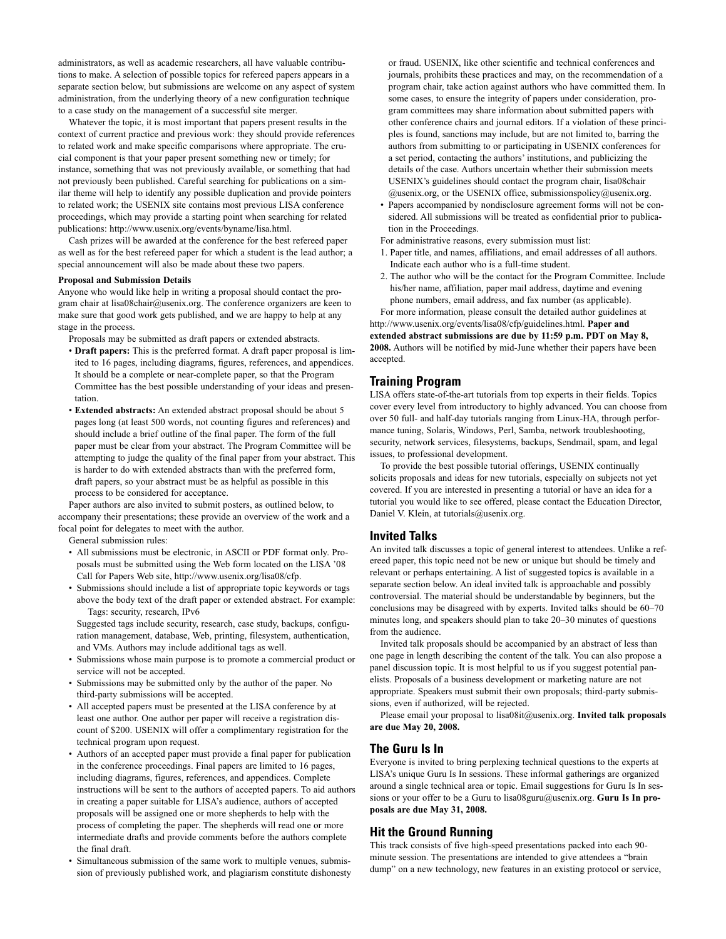administrators, as well as academic researchers, all have valuable contributions to make. A selection of possible topics for refereed papers appears in a separate section below, but submissions are welcome on any aspect of system administration, from the underlying theory of a new configuration technique to a case study on the management of a successful site merger.

Whatever the topic, it is most important that papers present results in the context of current practice and previous work: they should provide references to related work and make specific comparisons where appropriate. The crucial component is that your paper present something new or timely; for instance, something that was not previously available, or something that had not previously been published. Careful searching for publications on a similar theme will help to identify any possible duplication and provide pointers to related work; the USENIX site contains most previous LISA conference proceedings, which may provide a starting point when searching for related publications: http://www.usenix.org/events/byname/lisa.html.

Cash prizes will be awarded at the conference for the best refereed paper as well as for the best refereed paper for which a student is the lead author; a special announcement will also be made about these two papers.

#### **Proposal and Submission Details**

Anyone who would like help in writing a proposal should contact the program chair at lisa08chair@usenix.org. The conference organizers are keen to make sure that good work gets published, and we are happy to help at any stage in the process.

Proposals may be submitted as draft papers or extended abstracts.

- **Draft papers:** This is the preferred format. A draft paper proposal is limited to 16 pages, including diagrams, figures, references, and appendices. It should be a complete or near-complete paper, so that the Program Committee has the best possible understanding of your ideas and presentation.
- **Extended abstracts:** An extended abstract proposal should be about 5 pages long (at least 500 words, not counting figures and references) and should include a brief outline of the final paper. The form of the full paper must be clear from your abstract. The Program Committee will be attempting to judge the quality of the final paper from your abstract. This is harder to do with extended abstracts than with the preferred form, draft papers, so your abstract must be as helpful as possible in this process to be considered for acceptance.

Paper authors are also invited to submit posters, as outlined below, to accompany their presentations; these provide an overview of the work and a focal point for delegates to meet with the author.

General submission rules:

- All submissions must be electronic, in ASCII or PDF format only. Proposals must be submitted using the Web form located on the LISA '08 Call for Papers Web site, http://www.usenix.org/lisa08/cfp.
- Submissions should include a list of appropriate topic keywords or tags above the body text of the draft paper or extended abstract. For example: Tags: security, research, IPv6

Suggested tags include security, research, case study, backups, configuration management, database, Web, printing, filesystem, authentication, and VMs. Authors may include additional tags as well.

- Submissions whose main purpose is to promote a commercial product or service will not be accepted.
- Submissions may be submitted only by the author of the paper. No third-party submissions will be accepted.
- All accepted papers must be presented at the LISA conference by at least one author. One author per paper will receive a registration discount of \$200. USENIX will offer a complimentary registration for the technical program upon request.
- Authors of an accepted paper must provide a final paper for publication in the conference proceedings. Final papers are limited to 16 pages, including diagrams, figures, references, and appendices. Complete instructions will be sent to the authors of accepted papers. To aid authors in creating a paper suitable for LISA's audience, authors of accepted proposals will be assigned one or more shepherds to help with the process of completing the paper. The shepherds will read one or more intermediate drafts and provide comments before the authors complete the final draft.
- Simultaneous submission of the same work to multiple venues, submission of previously published work, and plagiarism constitute dishonesty

or fraud. USENIX, like other scientific and technical conferences and journals, prohibits these practices and may, on the recommendation of a program chair, take action against authors who have committed them. In some cases, to ensure the integrity of papers under consideration, program committees may share information about submitted papers with other conference chairs and journal editors. If a violation of these principles is found, sanctions may include, but are not limited to, barring the authors from submitting to or participating in USENIX conferences for a set period, contacting the authors' institutions, and publicizing the details of the case. Authors uncertain whether their submission meets USENIX's guidelines should contact the program chair, lisa08chair  $@$ usenix.org, or the USENIX office, submissionspolicy $@$ usenix.org.

• Papers accompanied by nondisclosure agreement forms will not be considered. All submissions will be treated as confidential prior to publication in the Proceedings.

For administrative reasons, every submission must list:

- 1. Paper title, and names, affiliations, and email addresses of all authors. Indicate each author who is a full-time student.
- 2. The author who will be the contact for the Program Committee. Include his/her name, affiliation, paper mail address, daytime and evening phone numbers, email address, and fax number (as applicable).

For more information, please consult the detailed author guidelines at http://www.usenix.org/events/lisa08/cfp/guidelines.html. **Paper and extended abstract submissions are due by 11:59 p.m. PDT on May 8, 2008.** Authors will be notified by mid-June whether their papers have been accepted.

#### **Training Program**

LISA offers state-of-the-art tutorials from top experts in their fields. Topics cover every level from introductory to highly advanced. You can choose from over 50 full- and half-day tutorials ranging from Linux-HA, through performance tuning, Solaris, Windows, Perl, Samba, network troubleshooting, security, network services, filesystems, backups, Sendmail, spam, and legal issues, to professional development.

To provide the best possible tutorial offerings, USENIX continually solicits proposals and ideas for new tutorials, especially on subjects not yet covered. If you are interested in presenting a tutorial or have an idea for a tutorial you would like to see offered, please contact the Education Director, Daniel V. Klein, at tutorials@usenix.org.

#### **Invited Talks**

An invited talk discusses a topic of general interest to attendees. Unlike a refereed paper, this topic need not be new or unique but should be timely and relevant or perhaps entertaining. A list of suggested topics is available in a separate section below. An ideal invited talk is approachable and possibly controversial. The material should be understandable by beginners, but the conclusions may be disagreed with by experts. Invited talks should be 60–70 minutes long, and speakers should plan to take 20–30 minutes of questions from the audience.

Invited talk proposals should be accompanied by an abstract of less than one page in length describing the content of the talk. You can also propose a panel discussion topic. It is most helpful to us if you suggest potential panelists. Proposals of a business development or marketing nature are not appropriate. Speakers must submit their own proposals; third-party submissions, even if authorized, will be rejected.

Please email your proposal to lisa08it@usenix.org. **Invited talk proposals are due May 20, 2008.**

#### **The Guru Is In**

Everyone is invited to bring perplexing technical questions to the experts at LISA's unique Guru Is In sessions. These informal gatherings are organized around a single technical area or topic. Email suggestions for Guru Is In sessions or your offer to be a Guru to lisa08guru@usenix.org. **Guru Is In proposals are due May 31, 2008.**

#### **Hit the Ground Running**

This track consists of five high-speed presentations packed into each 90 minute session. The presentations are intended to give attendees a "brain dump" on a new technology, new features in an existing protocol or service,